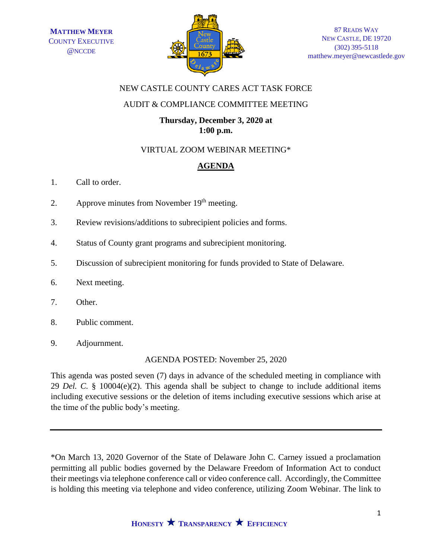

## NEW CASTLE COUNTY CARES ACT TASK FORCE

# AUDIT & COMPLIANCE COMMITTEE MEETING

# **Thursday, December 3, 2020 at 1:00 p.m.**

## VIRTUAL ZOOM WEBINAR MEETING\*

# **AGENDA**

- 1. Call to order.
- 2. Approve minutes from November  $19<sup>th</sup>$  meeting.
- 3. Review revisions/additions to subrecipient policies and forms.
- 4. Status of County grant programs and subrecipient monitoring.
- 5. Discussion of subrecipient monitoring for funds provided to State of Delaware.
- 6. Next meeting.
- 7. Other.
- 8. Public comment.
- 9. Adjournment.

AGENDA POSTED: November 25, 2020

This agenda was posted seven (7) days in advance of the scheduled meeting in compliance with 29 *Del. C.* § 10004(e)(2). This agenda shall be subject to change to include additional items including executive sessions or the deletion of items including executive sessions which arise at the time of the public body's meeting.

\*On March 13, 2020 Governor of the State of Delaware John C. Carney issued a proclamation permitting all public bodies governed by the Delaware Freedom of Information Act to conduct their meetings via telephone conference call or video conference call. Accordingly, the Committee is holding this meeting via telephone and video conference, utilizing Zoom Webinar. The link to